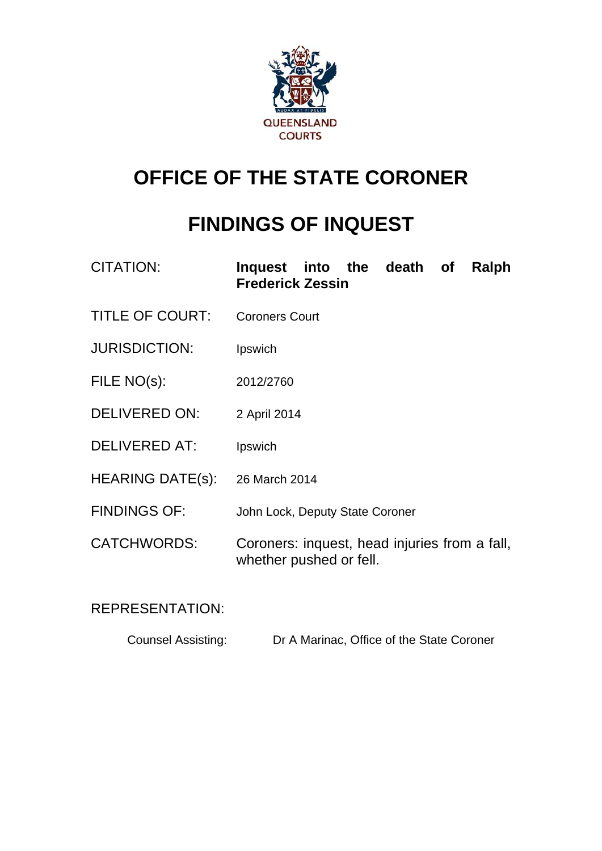

# **OFFICE OF THE STATE CORONER**

# **FINDINGS OF INQUEST**

| <b>CITATION:</b>       | Inquest into the death of<br>Ralph<br><b>Frederick Zessin</b>            |
|------------------------|--------------------------------------------------------------------------|
| <b>TITLE OF COURT:</b> | <b>Coroners Court</b>                                                    |
| <b>JURISDICTION:</b>   | Ipswich                                                                  |
| FILE NO(s):            | 2012/2760                                                                |
| DELIVERED ON:          | 2 April 2014                                                             |
| <b>DELIVERED AT:</b>   | Ipswich                                                                  |
| HEARING DATE(s):       | 26 March 2014                                                            |
| <b>FINDINGS OF:</b>    | John Lock, Deputy State Coroner                                          |
| <b>CATCHWORDS:</b>     | Coroners: inquest, head injuries from a fall,<br>whether pushed or fell. |

# REPRESENTATION:

| <b>Counsel Assisting:</b> | Dr A Marinac, Office of the State Coroner |
|---------------------------|-------------------------------------------|
|                           |                                           |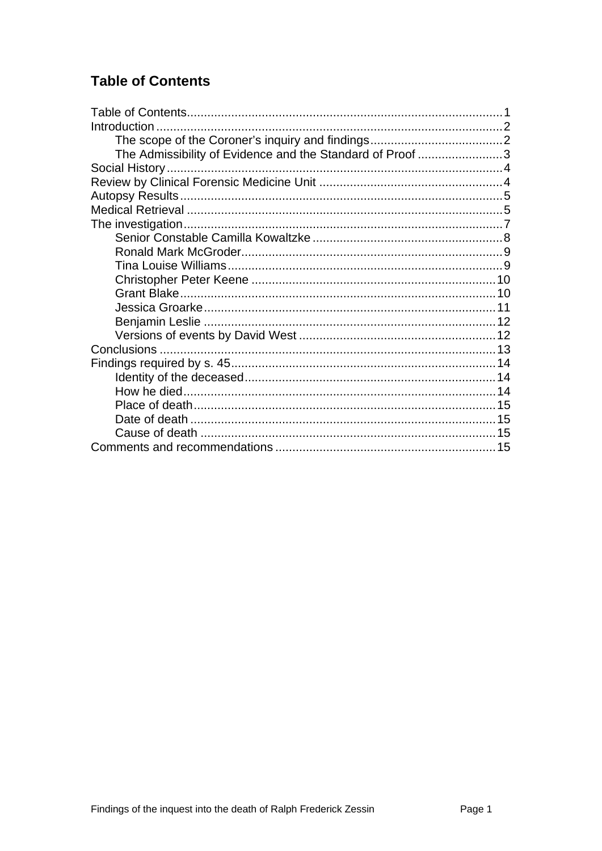# <span id="page-1-0"></span>**Table of Contents**

| Introduction                                              |  |
|-----------------------------------------------------------|--|
|                                                           |  |
| The Admissibility of Evidence and the Standard of Proof 3 |  |
|                                                           |  |
|                                                           |  |
|                                                           |  |
|                                                           |  |
|                                                           |  |
|                                                           |  |
|                                                           |  |
|                                                           |  |
|                                                           |  |
|                                                           |  |
|                                                           |  |
|                                                           |  |
|                                                           |  |
|                                                           |  |
|                                                           |  |
|                                                           |  |
|                                                           |  |
|                                                           |  |
|                                                           |  |
|                                                           |  |
|                                                           |  |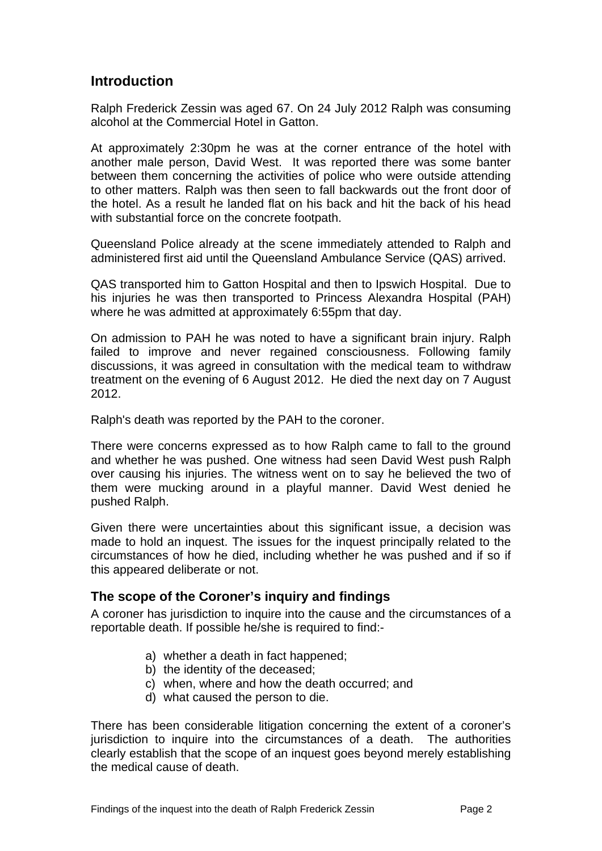## <span id="page-2-0"></span>**Introduction**

Ralph Frederick Zessin was aged 67. On 24 July 2012 Ralph was consuming alcohol at the Commercial Hotel in Gatton.

At approximately 2:30pm he was at the corner entrance of the hotel with another male person, David West. It was reported there was some banter between them concerning the activities of police who were outside attending to other matters. Ralph was then seen to fall backwards out the front door of the hotel. As a result he landed flat on his back and hit the back of his head with substantial force on the concrete footpath.

Queensland Police already at the scene immediately attended to Ralph and administered first aid until the Queensland Ambulance Service (QAS) arrived.

QAS transported him to Gatton Hospital and then to Ipswich Hospital. Due to his iniuries he was then transported to Princess Alexandra Hospital (PAH) where he was admitted at approximately 6:55pm that day.

On admission to PAH he was noted to have a significant brain injury. Ralph failed to improve and never regained consciousness. Following family discussions, it was agreed in consultation with the medical team to withdraw treatment on the evening of 6 August 2012. He died the next day on 7 August 2012.

Ralph's death was reported by the PAH to the coroner.

There were concerns expressed as to how Ralph came to fall to the ground and whether he was pushed. One witness had seen David West push Ralph over causing his injuries. The witness went on to say he believed the two of them were mucking around in a playful manner. David West denied he pushed Ralph.

Given there were uncertainties about this significant issue, a decision was made to hold an inquest. The issues for the inquest principally related to the circumstances of how he died, including whether he was pushed and if so if this appeared deliberate or not.

#### <span id="page-2-1"></span>**The scope of the Coroner's inquiry and findings**

A coroner has jurisdiction to inquire into the cause and the circumstances of a reportable death. If possible he/she is required to find:-

- a) whether a death in fact happened;
- b) the identity of the deceased;
- c) when, where and how the death occurred; and
- d) what caused the person to die.

There has been considerable litigation concerning the extent of a coroner's jurisdiction to inquire into the circumstances of a death. The authorities clearly establish that the scope of an inquest goes beyond merely establishing the medical cause of death.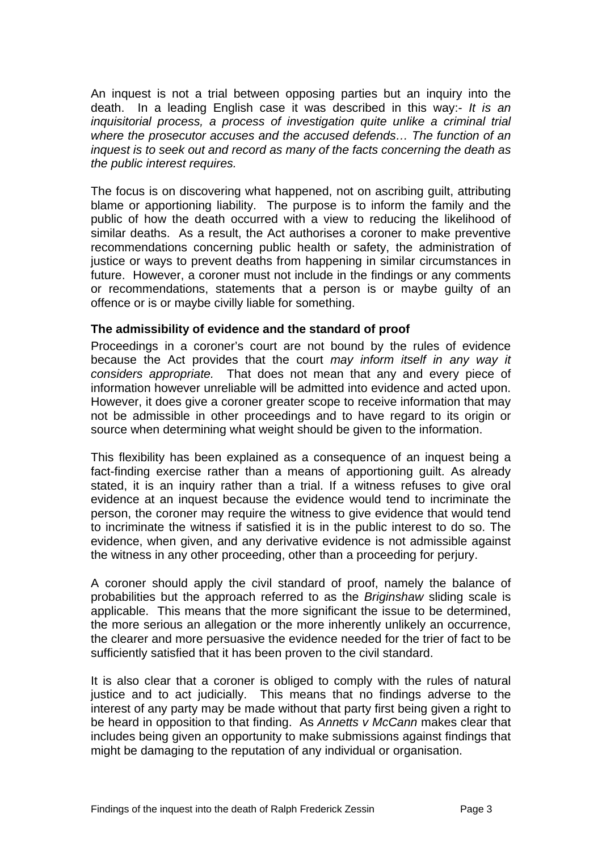An inquest is not a trial between opposing parties but an inquiry into the death. In a leading English case it was described in this way:- *It is an inquisitorial process, a process of investigation quite unlike a criminal trial where the prosecutor accuses and the accused defends… The function of an inquest is to seek out and record as many of the facts concerning the death as the public interest requires.* 

The focus is on discovering what happened, not on ascribing guilt, attributing blame or apportioning liability. The purpose is to inform the family and the public of how the death occurred with a view to reducing the likelihood of similar deaths. As a result, the Act authorises a coroner to make preventive recommendations concerning public health or safety, the administration of justice or ways to prevent deaths from happening in similar circumstances in future. However, a coroner must not include in the findings or any comments or recommendations, statements that a person is or maybe guilty of an offence or is or maybe civilly liable for something.

#### <span id="page-3-0"></span>**The admissibility of evidence and the standard of proof**

Proceedings in a coroner's court are not bound by the rules of evidence because the Act provides that the court *may inform itself in any way it considers appropriate.* That does not mean that any and every piece of information however unreliable will be admitted into evidence and acted upon. However, it does give a coroner greater scope to receive information that may not be admissible in other proceedings and to have regard to its origin or source when determining what weight should be given to the information.

This flexibility has been explained as a consequence of an inquest being a fact-finding exercise rather than a means of apportioning guilt. As already stated, it is an inquiry rather than a trial. If a witness refuses to give oral evidence at an inquest because the evidence would tend to incriminate the person, the coroner may require the witness to give evidence that would tend to incriminate the witness if satisfied it is in the public interest to do so. The evidence, when given, and any derivative evidence is not admissible against the witness in any other proceeding, other than a proceeding for perjury.

A coroner should apply the civil standard of proof, namely the balance of probabilities but the approach referred to as the *Briginshaw* sliding scale is applicable. This means that the more significant the issue to be determined, the more serious an allegation or the more inherently unlikely an occurrence, the clearer and more persuasive the evidence needed for the trier of fact to be sufficiently satisfied that it has been proven to the civil standard.

It is also clear that a coroner is obliged to comply with the rules of natural justice and to act judicially. This means that no findings adverse to the interest of any party may be made without that party first being given a right to be heard in opposition to that finding. As *Annetts v McCann* makes clear that includes being given an opportunity to make submissions against findings that might be damaging to the reputation of any individual or organisation.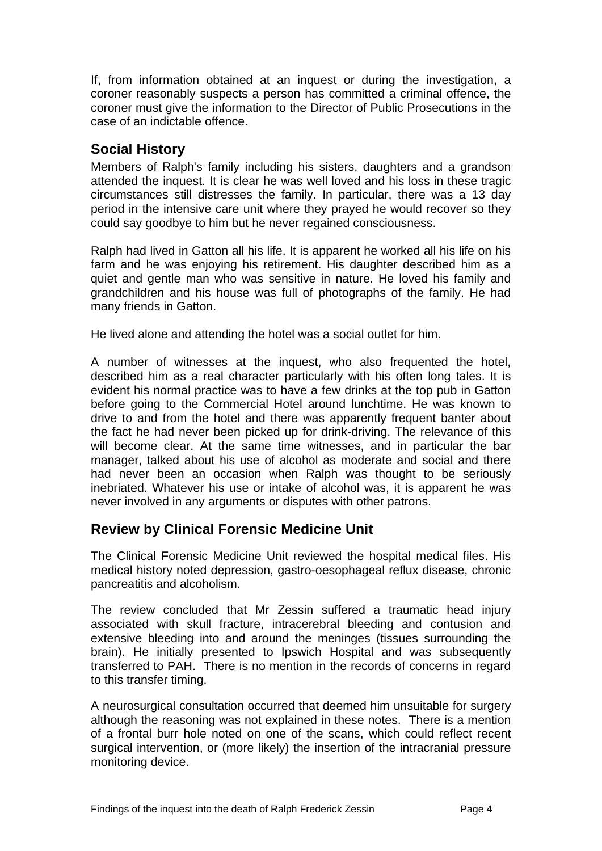If, from information obtained at an inquest or during the investigation, a coroner reasonably suspects a person has committed a criminal offence, the coroner must give the information to the Director of Public Prosecutions in the case of an indictable offence.

## <span id="page-4-0"></span>**Social History**

Members of Ralph's family including his sisters, daughters and a grandson attended the inquest. It is clear he was well loved and his loss in these tragic circumstances still distresses the family. In particular, there was a 13 day period in the intensive care unit where they prayed he would recover so they could say goodbye to him but he never regained consciousness.

Ralph had lived in Gatton all his life. It is apparent he worked all his life on his farm and he was enjoying his retirement. His daughter described him as a quiet and gentle man who was sensitive in nature. He loved his family and grandchildren and his house was full of photographs of the family. He had many friends in Gatton.

He lived alone and attending the hotel was a social outlet for him.

A number of witnesses at the inquest, who also frequented the hotel, described him as a real character particularly with his often long tales. It is evident his normal practice was to have a few drinks at the top pub in Gatton before going to the Commercial Hotel around lunchtime. He was known to drive to and from the hotel and there was apparently frequent banter about the fact he had never been picked up for drink-driving. The relevance of this will become clear. At the same time witnesses, and in particular the bar manager, talked about his use of alcohol as moderate and social and there had never been an occasion when Ralph was thought to be seriously inebriated. Whatever his use or intake of alcohol was, it is apparent he was never involved in any arguments or disputes with other patrons.

## <span id="page-4-1"></span>**Review by Clinical Forensic Medicine Unit**

The Clinical Forensic Medicine Unit reviewed the hospital medical files. His medical history noted depression, gastro-oesophageal reflux disease, chronic pancreatitis and alcoholism.

The review concluded that Mr Zessin suffered a traumatic head injury associated with skull fracture, intracerebral bleeding and contusion and extensive bleeding into and around the meninges (tissues surrounding the brain). He initially presented to Ipswich Hospital and was subsequently transferred to PAH. There is no mention in the records of concerns in regard to this transfer timing.

A neurosurgical consultation occurred that deemed him unsuitable for surgery although the reasoning was not explained in these notes. There is a mention of a frontal burr hole noted on one of the scans, which could reflect recent surgical intervention, or (more likely) the insertion of the intracranial pressure monitoring device.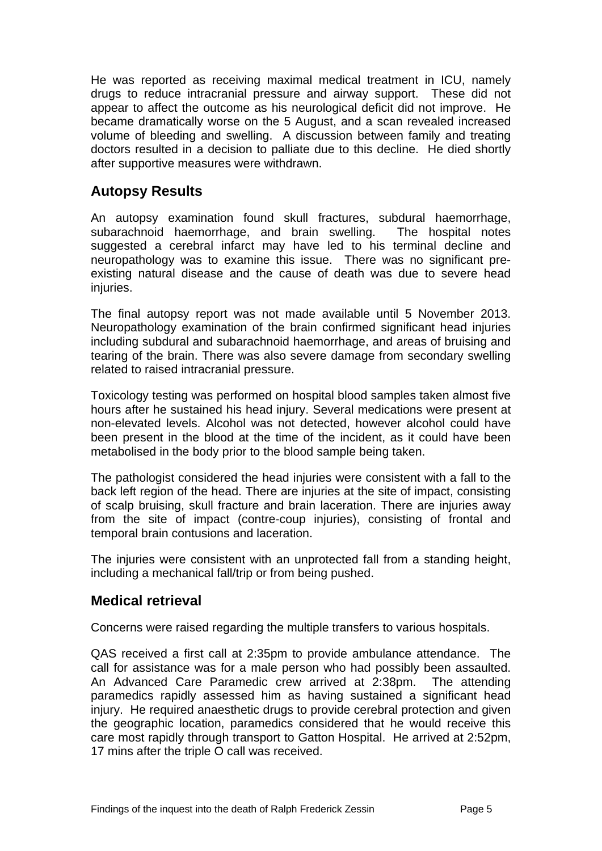He was reported as receiving maximal medical treatment in ICU, namely drugs to reduce intracranial pressure and airway support. These did not appear to affect the outcome as his neurological deficit did not improve. He became dramatically worse on the 5 August, and a scan revealed increased volume of bleeding and swelling. A discussion between family and treating doctors resulted in a decision to palliate due to this decline. He died shortly after supportive measures were withdrawn.

## <span id="page-5-0"></span>**Autopsy Results**

An autopsy examination found skull fractures, subdural haemorrhage, subarachnoid haemorrhage, and brain swelling. The hospital notes suggested a cerebral infarct may have led to his terminal decline and neuropathology was to examine this issue. There was no significant preexisting natural disease and the cause of death was due to severe head injuries.

The final autopsy report was not made available until 5 November 2013. Neuropathology examination of the brain confirmed significant head injuries including subdural and subarachnoid haemorrhage, and areas of bruising and tearing of the brain. There was also severe damage from secondary swelling related to raised intracranial pressure.

Toxicology testing was performed on hospital blood samples taken almost five hours after he sustained his head injury. Several medications were present at non-elevated levels. Alcohol was not detected, however alcohol could have been present in the blood at the time of the incident, as it could have been metabolised in the body prior to the blood sample being taken.

The pathologist considered the head injuries were consistent with a fall to the back left region of the head. There are injuries at the site of impact, consisting of scalp bruising, skull fracture and brain laceration. There are injuries away from the site of impact (contre-coup injuries), consisting of frontal and temporal brain contusions and laceration.

The injuries were consistent with an unprotected fall from a standing height, including a mechanical fall/trip or from being pushed.

## <span id="page-5-1"></span>**Medical retrieval**

Concerns were raised regarding the multiple transfers to various hospitals.

QAS received a first call at 2:35pm to provide ambulance attendance. The call for assistance was for a male person who had possibly been assaulted. An Advanced Care Paramedic crew arrived at 2:38pm. The attending paramedics rapidly assessed him as having sustained a significant head injury. He required anaesthetic drugs to provide cerebral protection and given the geographic location, paramedics considered that he would receive this care most rapidly through transport to Gatton Hospital. He arrived at 2:52pm, 17 mins after the triple O call was received.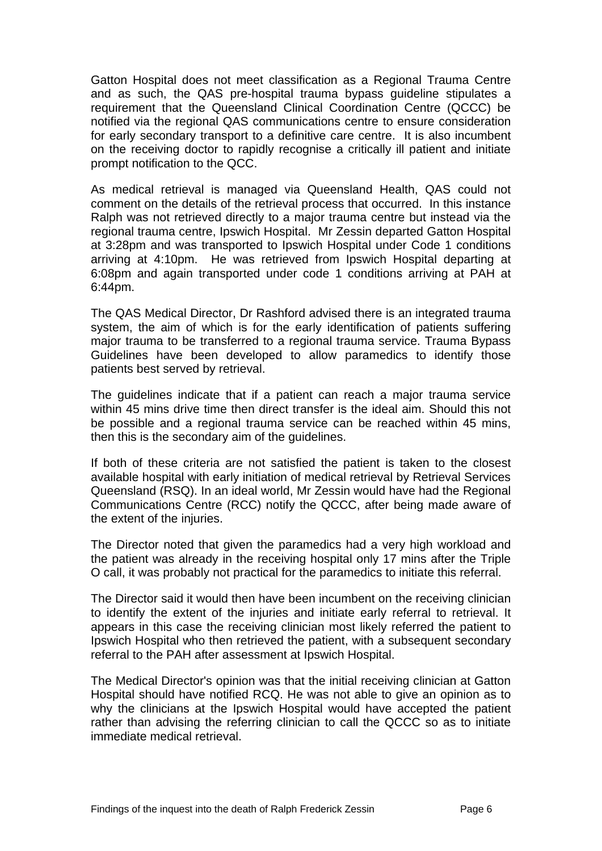Gatton Hospital does not meet classification as a Regional Trauma Centre and as such, the QAS pre-hospital trauma bypass guideline stipulates a requirement that the Queensland Clinical Coordination Centre (QCCC) be notified via the regional QAS communications centre to ensure consideration for early secondary transport to a definitive care centre. It is also incumbent on the receiving doctor to rapidly recognise a critically ill patient and initiate prompt notification to the QCC.

As medical retrieval is managed via Queensland Health, QAS could not comment on the details of the retrieval process that occurred. In this instance Ralph was not retrieved directly to a major trauma centre but instead via the regional trauma centre, Ipswich Hospital. Mr Zessin departed Gatton Hospital at 3:28pm and was transported to Ipswich Hospital under Code 1 conditions arriving at 4:10pm. He was retrieved from Ipswich Hospital departing at 6:08pm and again transported under code 1 conditions arriving at PAH at 6:44pm.

The QAS Medical Director, Dr Rashford advised there is an integrated trauma system, the aim of which is for the early identification of patients suffering major trauma to be transferred to a regional trauma service. Trauma Bypass Guidelines have been developed to allow paramedics to identify those patients best served by retrieval.

The guidelines indicate that if a patient can reach a major trauma service within 45 mins drive time then direct transfer is the ideal aim. Should this not be possible and a regional trauma service can be reached within 45 mins, then this is the secondary aim of the guidelines.

If both of these criteria are not satisfied the patient is taken to the closest available hospital with early initiation of medical retrieval by Retrieval Services Queensland (RSQ). In an ideal world, Mr Zessin would have had the Regional Communications Centre (RCC) notify the QCCC, after being made aware of the extent of the injuries.

The Director noted that given the paramedics had a very high workload and the patient was already in the receiving hospital only 17 mins after the Triple O call, it was probably not practical for the paramedics to initiate this referral.

The Director said it would then have been incumbent on the receiving clinician to identify the extent of the injuries and initiate early referral to retrieval. It appears in this case the receiving clinician most likely referred the patient to Ipswich Hospital who then retrieved the patient, with a subsequent secondary referral to the PAH after assessment at Ipswich Hospital.

The Medical Director's opinion was that the initial receiving clinician at Gatton Hospital should have notified RCQ. He was not able to give an opinion as to why the clinicians at the Ipswich Hospital would have accepted the patient rather than advising the referring clinician to call the QCCC so as to initiate immediate medical retrieval.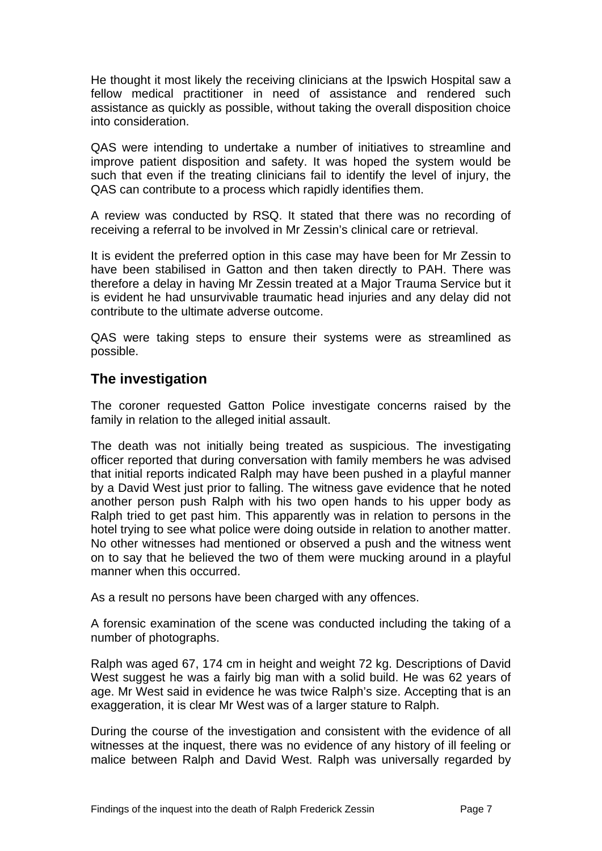He thought it most likely the receiving clinicians at the Ipswich Hospital saw a fellow medical practitioner in need of assistance and rendered such assistance as quickly as possible, without taking the overall disposition choice into consideration.

QAS were intending to undertake a number of initiatives to streamline and improve patient disposition and safety. It was hoped the system would be such that even if the treating clinicians fail to identify the level of injury, the QAS can contribute to a process which rapidly identifies them.

A review was conducted by RSQ. It stated that there was no recording of receiving a referral to be involved in Mr Zessin's clinical care or retrieval.

It is evident the preferred option in this case may have been for Mr Zessin to have been stabilised in Gatton and then taken directly to PAH. There was therefore a delay in having Mr Zessin treated at a Major Trauma Service but it is evident he had unsurvivable traumatic head injuries and any delay did not contribute to the ultimate adverse outcome.

QAS were taking steps to ensure their systems were as streamlined as possible.

## <span id="page-7-0"></span>**The investigation**

The coroner requested Gatton Police investigate concerns raised by the family in relation to the alleged initial assault.

The death was not initially being treated as suspicious. The investigating officer reported that during conversation with family members he was advised that initial reports indicated Ralph may have been pushed in a playful manner by a David West just prior to falling. The witness gave evidence that he noted another person push Ralph with his two open hands to his upper body as Ralph tried to get past him. This apparently was in relation to persons in the hotel trying to see what police were doing outside in relation to another matter. No other witnesses had mentioned or observed a push and the witness went on to say that he believed the two of them were mucking around in a playful manner when this occurred.

As a result no persons have been charged with any offences.

A forensic examination of the scene was conducted including the taking of a number of photographs.

Ralph was aged 67, 174 cm in height and weight 72 kg. Descriptions of David West suggest he was a fairly big man with a solid build. He was 62 years of age. Mr West said in evidence he was twice Ralph's size. Accepting that is an exaggeration, it is clear Mr West was of a larger stature to Ralph.

During the course of the investigation and consistent with the evidence of all witnesses at the inquest, there was no evidence of any history of ill feeling or malice between Ralph and David West. Ralph was universally regarded by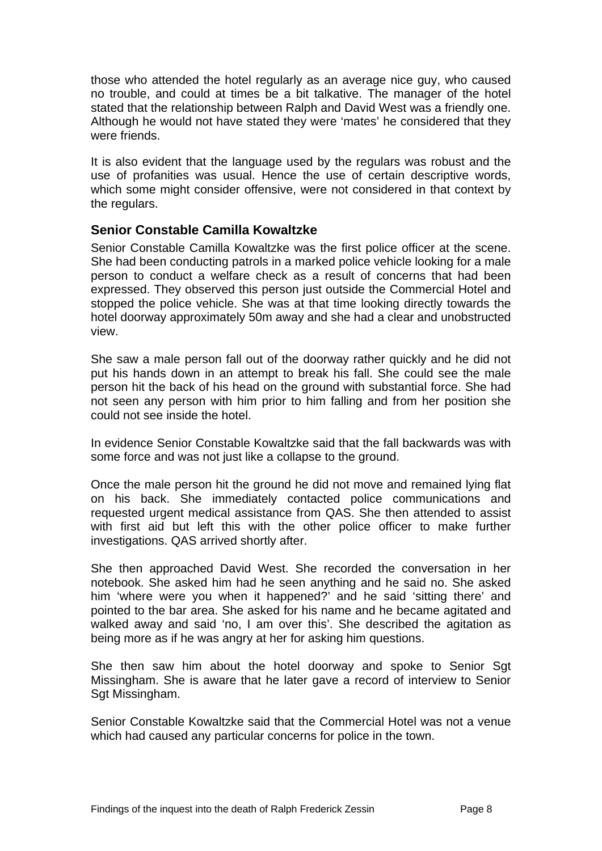those who attended the hotel regularly as an average nice guy, who caused no trouble, and could at times be a bit talkative. The manager of the hotel stated that the relationship between Ralph and David West was a friendly one. Although he would not have stated they were 'mates' he considered that they were friends.

It is also evident that the language used by the regulars was robust and the use of profanities was usual. Hence the use of certain descriptive words, which some might consider offensive, were not considered in that context by the regulars.

#### <span id="page-8-0"></span>**Senior Constable Camilla Kowaltzke**

Senior Constable Camilla Kowaltzke was the first police officer at the scene. She had been conducting patrols in a marked police vehicle looking for a male person to conduct a welfare check as a result of concerns that had been expressed. They observed this person just outside the Commercial Hotel and stopped the police vehicle. She was at that time looking directly towards the hotel doorway approximately 50m away and she had a clear and unobstructed view.

She saw a male person fall out of the doorway rather quickly and he did not put his hands down in an attempt to break his fall. She could see the male person hit the back of his head on the ground with substantial force. She had not seen any person with him prior to him falling and from her position she could not see inside the hotel.

In evidence Senior Constable Kowaltzke said that the fall backwards was with some force and was not just like a collapse to the ground.

Once the male person hit the ground he did not move and remained lying flat on his back. She immediately contacted police communications and requested urgent medical assistance from QAS. She then attended to assist with first aid but left this with the other police officer to make further investigations. QAS arrived shortly after.

She then approached David West. She recorded the conversation in her notebook. She asked him had he seen anything and he said no. She asked him 'where were you when it happened?' and he said 'sitting there' and pointed to the bar area. She asked for his name and he became agitated and walked away and said 'no, I am over this'. She described the agitation as being more as if he was angry at her for asking him questions.

She then saw him about the hotel doorway and spoke to Senior Sgt Missingham. She is aware that he later gave a record of interview to Senior Sgt Missingham.

Senior Constable Kowaltzke said that the Commercial Hotel was not a venue which had caused any particular concerns for police in the town.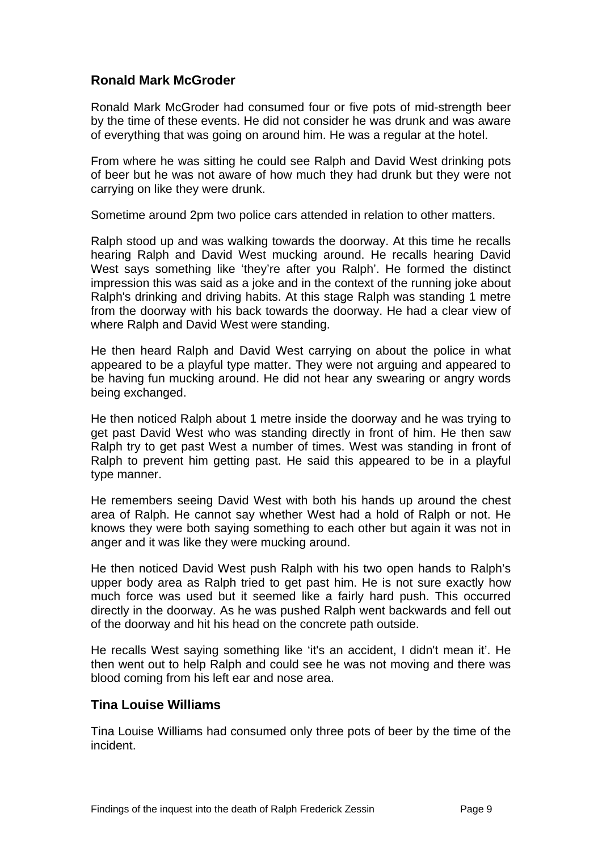### <span id="page-9-0"></span>**Ronald Mark McGroder**

Ronald Mark McGroder had consumed four or five pots of mid-strength beer by the time of these events. He did not consider he was drunk and was aware of everything that was going on around him. He was a regular at the hotel.

From where he was sitting he could see Ralph and David West drinking pots of beer but he was not aware of how much they had drunk but they were not carrying on like they were drunk.

Sometime around 2pm two police cars attended in relation to other matters.

Ralph stood up and was walking towards the doorway. At this time he recalls hearing Ralph and David West mucking around. He recalls hearing David West says something like 'they're after you Ralph'. He formed the distinct impression this was said as a joke and in the context of the running joke about Ralph's drinking and driving habits. At this stage Ralph was standing 1 metre from the doorway with his back towards the doorway. He had a clear view of where Ralph and David West were standing.

He then heard Ralph and David West carrying on about the police in what appeared to be a playful type matter. They were not arguing and appeared to be having fun mucking around. He did not hear any swearing or angry words being exchanged.

He then noticed Ralph about 1 metre inside the doorway and he was trying to get past David West who was standing directly in front of him. He then saw Ralph try to get past West a number of times. West was standing in front of Ralph to prevent him getting past. He said this appeared to be in a playful type manner.

He remembers seeing David West with both his hands up around the chest area of Ralph. He cannot say whether West had a hold of Ralph or not. He knows they were both saying something to each other but again it was not in anger and it was like they were mucking around.

He then noticed David West push Ralph with his two open hands to Ralph's upper body area as Ralph tried to get past him. He is not sure exactly how much force was used but it seemed like a fairly hard push. This occurred directly in the doorway. As he was pushed Ralph went backwards and fell out of the doorway and hit his head on the concrete path outside.

He recalls West saying something like 'it's an accident, I didn't mean it'. He then went out to help Ralph and could see he was not moving and there was blood coming from his left ear and nose area.

#### <span id="page-9-1"></span>**Tina Louise Williams**

Tina Louise Williams had consumed only three pots of beer by the time of the incident.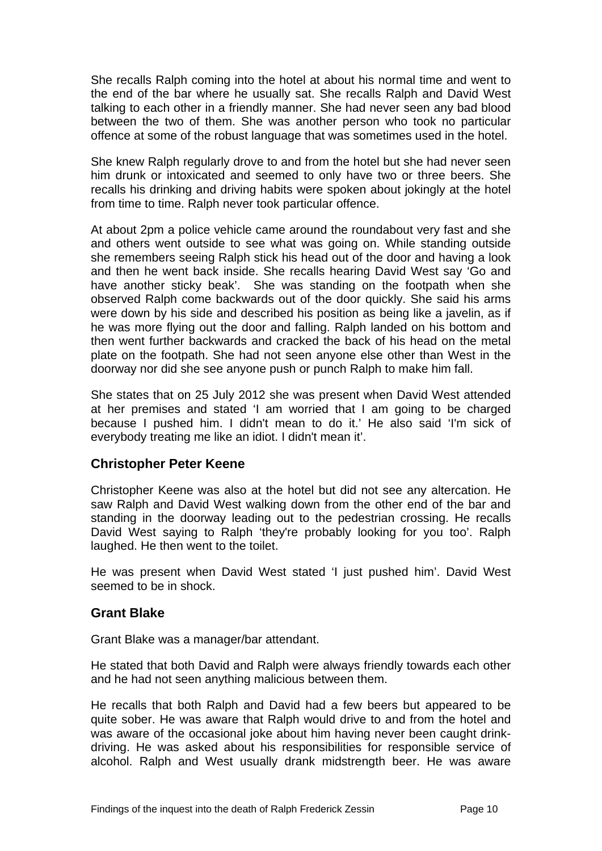She recalls Ralph coming into the hotel at about his normal time and went to the end of the bar where he usually sat. She recalls Ralph and David West talking to each other in a friendly manner. She had never seen any bad blood between the two of them. She was another person who took no particular offence at some of the robust language that was sometimes used in the hotel.

She knew Ralph regularly drove to and from the hotel but she had never seen him drunk or intoxicated and seemed to only have two or three beers. She recalls his drinking and driving habits were spoken about jokingly at the hotel from time to time. Ralph never took particular offence.

At about 2pm a police vehicle came around the roundabout very fast and she and others went outside to see what was going on. While standing outside she remembers seeing Ralph stick his head out of the door and having a look and then he went back inside. She recalls hearing David West say 'Go and have another sticky beak'. She was standing on the footpath when she observed Ralph come backwards out of the door quickly. She said his arms were down by his side and described his position as being like a javelin, as if he was more flying out the door and falling. Ralph landed on his bottom and then went further backwards and cracked the back of his head on the metal plate on the footpath. She had not seen anyone else other than West in the doorway nor did she see anyone push or punch Ralph to make him fall.

She states that on 25 July 2012 she was present when David West attended at her premises and stated 'I am worried that I am going to be charged because I pushed him. I didn't mean to do it.' He also said 'I'm sick of everybody treating me like an idiot. I didn't mean it'.

#### <span id="page-10-0"></span>**Christopher Peter Keene**

Christopher Keene was also at the hotel but did not see any altercation. He saw Ralph and David West walking down from the other end of the bar and standing in the doorway leading out to the pedestrian crossing. He recalls David West saying to Ralph 'they're probably looking for you too'. Ralph laughed. He then went to the toilet.

He was present when David West stated 'I just pushed him'. David West seemed to be in shock.

#### <span id="page-10-1"></span>**Grant Blake**

Grant Blake was a manager/bar attendant.

He stated that both David and Ralph were always friendly towards each other and he had not seen anything malicious between them.

He recalls that both Ralph and David had a few beers but appeared to be quite sober. He was aware that Ralph would drive to and from the hotel and was aware of the occasional joke about him having never been caught drinkdriving. He was asked about his responsibilities for responsible service of alcohol. Ralph and West usually drank midstrength beer. He was aware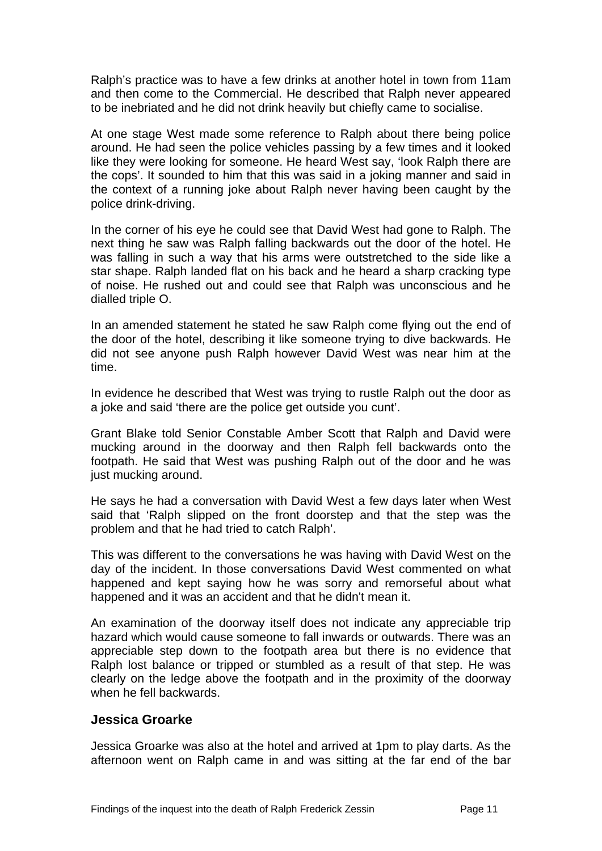Ralph's practice was to have a few drinks at another hotel in town from 11am and then come to the Commercial. He described that Ralph never appeared to be inebriated and he did not drink heavily but chiefly came to socialise.

At one stage West made some reference to Ralph about there being police around. He had seen the police vehicles passing by a few times and it looked like they were looking for someone. He heard West say, 'look Ralph there are the cops'. It sounded to him that this was said in a joking manner and said in the context of a running joke about Ralph never having been caught by the police drink-driving.

In the corner of his eye he could see that David West had gone to Ralph. The next thing he saw was Ralph falling backwards out the door of the hotel. He was falling in such a way that his arms were outstretched to the side like a star shape. Ralph landed flat on his back and he heard a sharp cracking type of noise. He rushed out and could see that Ralph was unconscious and he dialled triple O.

In an amended statement he stated he saw Ralph come flying out the end of the door of the hotel, describing it like someone trying to dive backwards. He did not see anyone push Ralph however David West was near him at the time.

In evidence he described that West was trying to rustle Ralph out the door as a joke and said 'there are the police get outside you cunt'.

Grant Blake told Senior Constable Amber Scott that Ralph and David were mucking around in the doorway and then Ralph fell backwards onto the footpath. He said that West was pushing Ralph out of the door and he was just mucking around.

He says he had a conversation with David West a few days later when West said that 'Ralph slipped on the front doorstep and that the step was the problem and that he had tried to catch Ralph'.

This was different to the conversations he was having with David West on the day of the incident. In those conversations David West commented on what happened and kept saying how he was sorry and remorseful about what happened and it was an accident and that he didn't mean it.

An examination of the doorway itself does not indicate any appreciable trip hazard which would cause someone to fall inwards or outwards. There was an appreciable step down to the footpath area but there is no evidence that Ralph lost balance or tripped or stumbled as a result of that step. He was clearly on the ledge above the footpath and in the proximity of the doorway when he fell backwards.

#### <span id="page-11-0"></span>**Jessica Groarke**

Jessica Groarke was also at the hotel and arrived at 1pm to play darts. As the afternoon went on Ralph came in and was sitting at the far end of the bar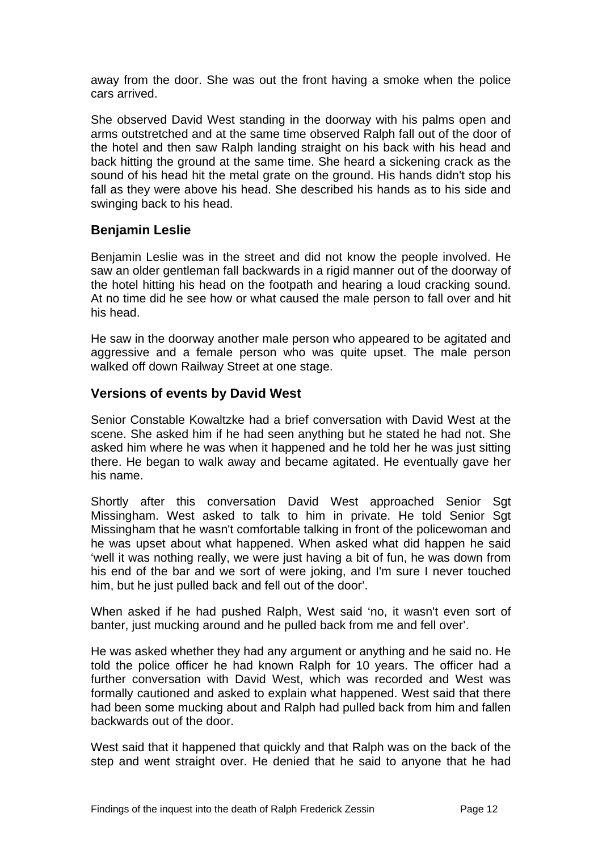away from the door. She was out the front having a smoke when the police cars arrived.

She observed David West standing in the doorway with his palms open and arms outstretched and at the same time observed Ralph fall out of the door of the hotel and then saw Ralph landing straight on his back with his head and back hitting the ground at the same time. She heard a sickening crack as the sound of his head hit the metal grate on the ground. His hands didn't stop his fall as they were above his head. She described his hands as to his side and swinging back to his head.

#### <span id="page-12-0"></span>**Benjamin Leslie**

Benjamin Leslie was in the street and did not know the people involved. He saw an older gentleman fall backwards in a rigid manner out of the doorway of the hotel hitting his head on the footpath and hearing a loud cracking sound. At no time did he see how or what caused the male person to fall over and hit his head.

He saw in the doorway another male person who appeared to be agitated and aggressive and a female person who was quite upset. The male person walked off down Railway Street at one stage.

#### <span id="page-12-1"></span>**Versions of events by David West**

Senior Constable Kowaltzke had a brief conversation with David West at the scene. She asked him if he had seen anything but he stated he had not. She asked him where he was when it happened and he told her he was just sitting there. He began to walk away and became agitated. He eventually gave her his name.

Shortly after this conversation David West approached Senior Sgt Missingham. West asked to talk to him in private. He told Senior Sgt Missingham that he wasn't comfortable talking in front of the policewoman and he was upset about what happened. When asked what did happen he said 'well it was nothing really, we were just having a bit of fun, he was down from his end of the bar and we sort of were joking, and I'm sure I never touched him, but he just pulled back and fell out of the door'.

When asked if he had pushed Ralph, West said 'no, it wasn't even sort of banter, just mucking around and he pulled back from me and fell over'.

He was asked whether they had any argument or anything and he said no. He told the police officer he had known Ralph for 10 years. The officer had a further conversation with David West, which was recorded and West was formally cautioned and asked to explain what happened. West said that there had been some mucking about and Ralph had pulled back from him and fallen backwards out of the door.

West said that it happened that quickly and that Ralph was on the back of the step and went straight over. He denied that he said to anyone that he had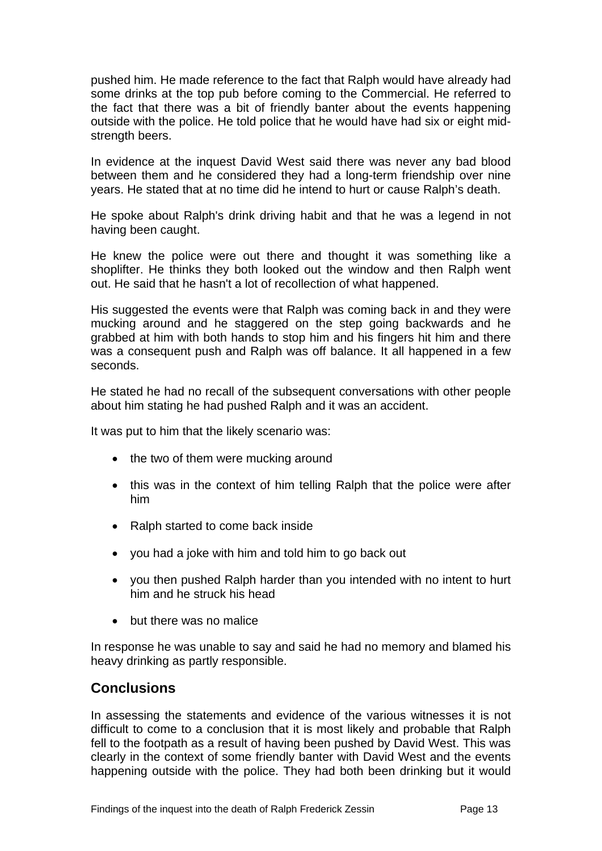pushed him. He made reference to the fact that Ralph would have already had some drinks at the top pub before coming to the Commercial. He referred to the fact that there was a bit of friendly banter about the events happening outside with the police. He told police that he would have had six or eight midstrength beers.

In evidence at the inquest David West said there was never any bad blood between them and he considered they had a long-term friendship over nine years. He stated that at no time did he intend to hurt or cause Ralph's death.

He spoke about Ralph's drink driving habit and that he was a legend in not having been caught.

He knew the police were out there and thought it was something like a shoplifter. He thinks they both looked out the window and then Ralph went out. He said that he hasn't a lot of recollection of what happened.

His suggested the events were that Ralph was coming back in and they were mucking around and he staggered on the step going backwards and he grabbed at him with both hands to stop him and his fingers hit him and there was a consequent push and Ralph was off balance. It all happened in a few seconds.

He stated he had no recall of the subsequent conversations with other people about him stating he had pushed Ralph and it was an accident.

It was put to him that the likely scenario was:

- the two of them were mucking around
- this was in the context of him telling Ralph that the police were after him
- Ralph started to come back inside
- vou had a joke with him and told him to go back out
- you then pushed Ralph harder than you intended with no intent to hurt him and he struck his head
- but there was no malice

In response he was unable to say and said he had no memory and blamed his heavy drinking as partly responsible.

#### <span id="page-13-0"></span>**Conclusions**

In assessing the statements and evidence of the various witnesses it is not difficult to come to a conclusion that it is most likely and probable that Ralph fell to the footpath as a result of having been pushed by David West. This was clearly in the context of some friendly banter with David West and the events happening outside with the police. They had both been drinking but it would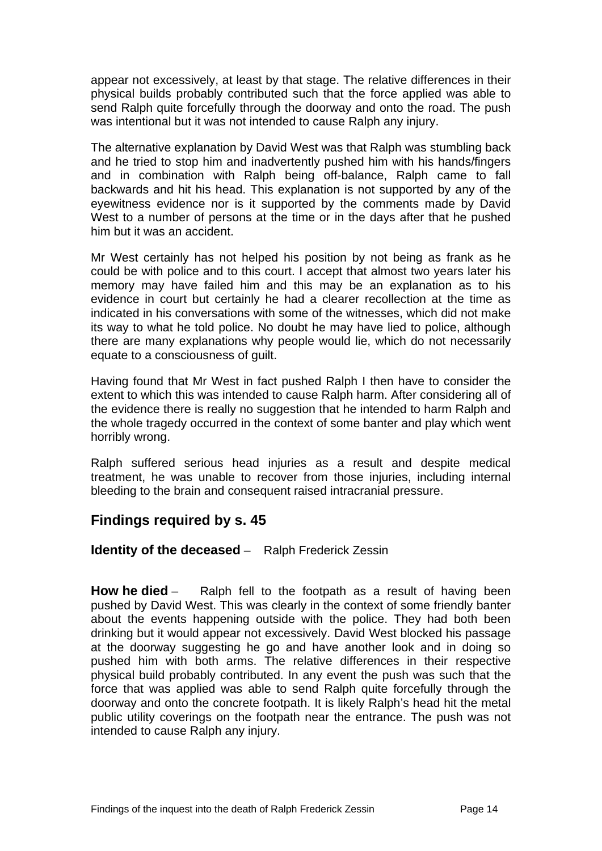appear not excessively, at least by that stage. The relative differences in their physical builds probably contributed such that the force applied was able to send Ralph quite forcefully through the doorway and onto the road. The push was intentional but it was not intended to cause Ralph any injury.

The alternative explanation by David West was that Ralph was stumbling back and he tried to stop him and inadvertently pushed him with his hands/fingers and in combination with Ralph being off-balance, Ralph came to fall backwards and hit his head. This explanation is not supported by any of the eyewitness evidence nor is it supported by the comments made by David West to a number of persons at the time or in the days after that he pushed him but it was an accident.

Mr West certainly has not helped his position by not being as frank as he could be with police and to this court. I accept that almost two years later his memory may have failed him and this may be an explanation as to his evidence in court but certainly he had a clearer recollection at the time as indicated in his conversations with some of the witnesses, which did not make its way to what he told police. No doubt he may have lied to police, although there are many explanations why people would lie, which do not necessarily equate to a consciousness of guilt.

Having found that Mr West in fact pushed Ralph I then have to consider the extent to which this was intended to cause Ralph harm. After considering all of the evidence there is really no suggestion that he intended to harm Ralph and the whole tragedy occurred in the context of some banter and play which went horribly wrong.

Ralph suffered serious head injuries as a result and despite medical treatment, he was unable to recover from those injuries, including internal bleeding to the brain and consequent raised intracranial pressure.

## <span id="page-14-0"></span>**Findings required by s. 45**

#### <span id="page-14-1"></span>**Identity of the deceased** – Ralph Frederick Zessin

<span id="page-14-2"></span>**How he died** – Ralph fell to the footpath as a result of having been pushed by David West. This was clearly in the context of some friendly banter about the events happening outside with the police. They had both been drinking but it would appear not excessively. David West blocked his passage at the doorway suggesting he go and have another look and in doing so pushed him with both arms. The relative differences in their respective physical build probably contributed. In any event the push was such that the force that was applied was able to send Ralph quite forcefully through the doorway and onto the concrete footpath. It is likely Ralph's head hit the metal public utility coverings on the footpath near the entrance. The push was not intended to cause Ralph any injury.